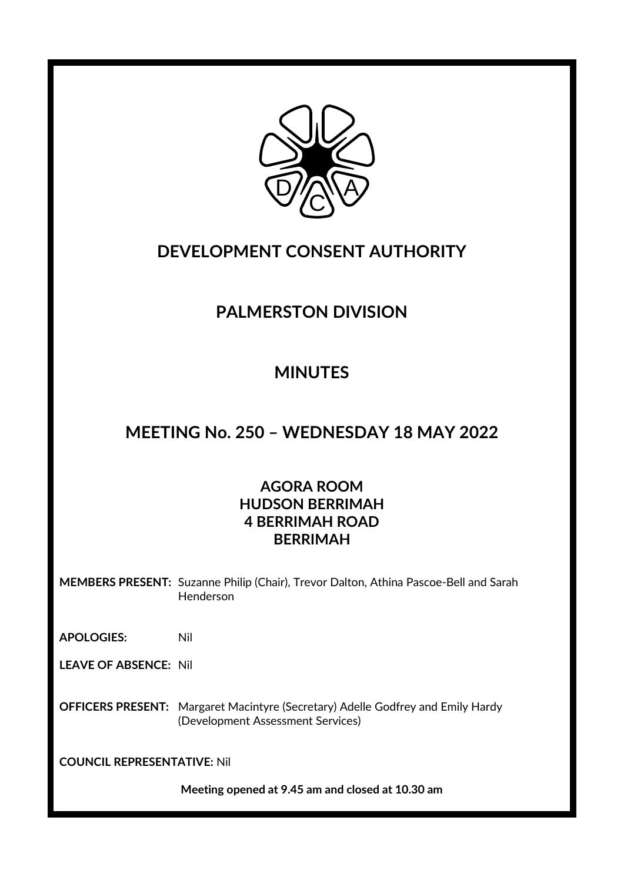

# **DEVELOPMENT CONSENT AUTHORITY**

# **PALMERSTON DIVISION**

# **MINUTES**

# **MEETING No. 250 – WEDNESDAY 18 MAY 2022**

### **AGORA ROOM HUDSON BERRIMAH 4 BERRIMAH ROAD BERRIMAH**

**MEMBERS PRESENT:** Suzanne Philip (Chair), Trevor Dalton, Athina Pascoe-Bell and Sarah Henderson

**APOLOGIES:** Nil

**LEAVE OF ABSENCE:** Nil

**OFFICERS PRESENT:** Margaret Macintyre (Secretary) Adelle Godfrey and Emily Hardy (Development Assessment Services)

**COUNCIL REPRESENTATIVE:** Nil

**Meeting opened at 9.45 am and closed at 10.30 am**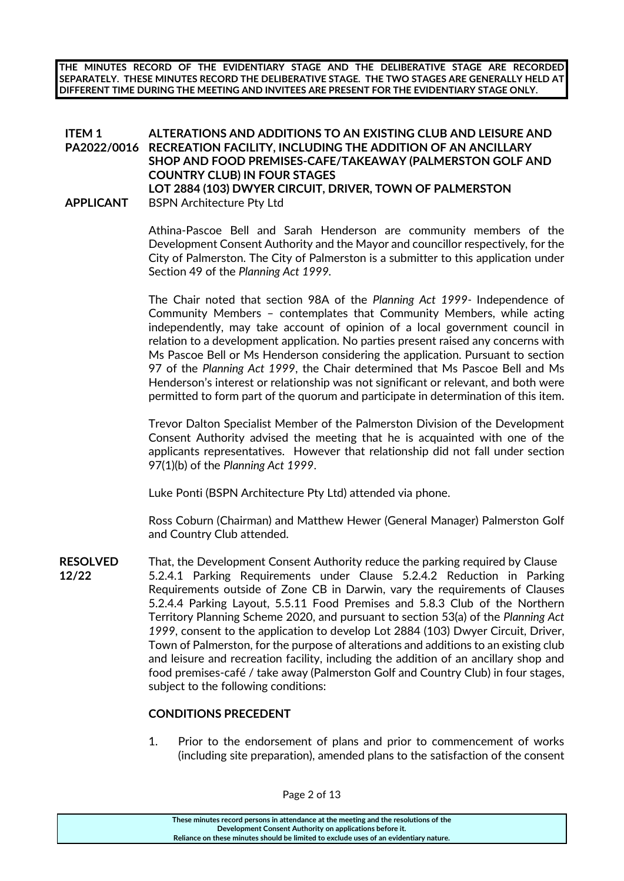**THE MINUTES RECORD OF THE EVIDENTIARY STAGE AND THE DELIBERATIVE STAGE ARE RECORDED SEPARATELY. THESE MINUTES RECORD THE DELIBERATIVE STAGE. THE TWO STAGES ARE GENERALLY HELD AT DIFFERENT TIME DURING THE MEETING AND INVITEES ARE PRESENT FOR THE EVIDENTIARY STAGE ONLY.**

#### **ITEM 1 PA2022/0016 RECREATION FACILITY, INCLUDING THE ADDITION OF AN ANCILLARY ALTERATIONS AND ADDITIONS TO AN EXISTING CLUB AND LEISURE AND SHOP AND FOOD PREMISES-CAFE/TAKEAWAY (PALMERSTON GOLF AND COUNTRY CLUB) IN FOUR STAGES LOT 2884 (103) DWYER CIRCUIT, DRIVER, TOWN OF PALMERSTON APPLICANT** BSPN Architecture Pty Ltd

Athina-Pascoe Bell and Sarah Henderson are community members of the Development Consent Authority and the Mayor and councillor respectively, for the City of Palmerston. The City of Palmerston is a submitter to this application under Section 49 of the *Planning Act 1999.* 

The Chair noted that section 98A of the *Planning Act 1999-* Independence of Community Members – contemplates that Community Members, while acting independently, may take account of opinion of a local government council in relation to a development application. No parties present raised any concerns with Ms Pascoe Bell or Ms Henderson considering the application. Pursuant to section 97 of the *Planning Act 1999*, the Chair determined that Ms Pascoe Bell and Ms Henderson's interest or relationship was not significant or relevant, and both were permitted to form part of the quorum and participate in determination of this item.

Trevor Dalton Specialist Member of the Palmerston Division of the Development Consent Authority advised the meeting that he is acquainted with one of the applicants representatives. However that relationship did not fall under section 97(1)(b) of the *Planning Act 1999*.

Luke Ponti (BSPN Architecture Pty Ltd) attended via phone.

Ross Coburn (Chairman) and Matthew Hewer (General Manager) Palmerston Golf and Country Club attended.

**RESOLVED** That, the Development Consent Authority reduce the parking required by Clause **12/22** 5.2.4.1 Parking Requirements under Clause 5.2.4.2 Reduction in Parking Requirements outside of Zone CB in Darwin, vary the requirements of Clauses 5.2.4.4 Parking Layout, 5.5.11 Food Premises and 5.8.3 Club of the Northern Territory Planning Scheme 2020, and pursuant to section 53(a) of the *Planning Act 1999*, consent to the application to develop Lot 2884 (103) Dwyer Circuit, Driver, Town of Palmerston, for the purpose of alterations and additions to an existing club and leisure and recreation facility, including the addition of an ancillary shop and food premises-café / take away (Palmerston Golf and Country Club) in four stages, subject to the following conditions:

### **CONDITIONS PRECEDENT**

1. Prior to the endorsement of plans and prior to commencement of works (including site preparation), amended plans to the satisfaction of the consent

**These minutes record persons in attendance at the meeting and the resolutions of the Development Consent Authority on applications before it. Reliance on these minutes should be limited to exclude uses of an evidentiary nature.**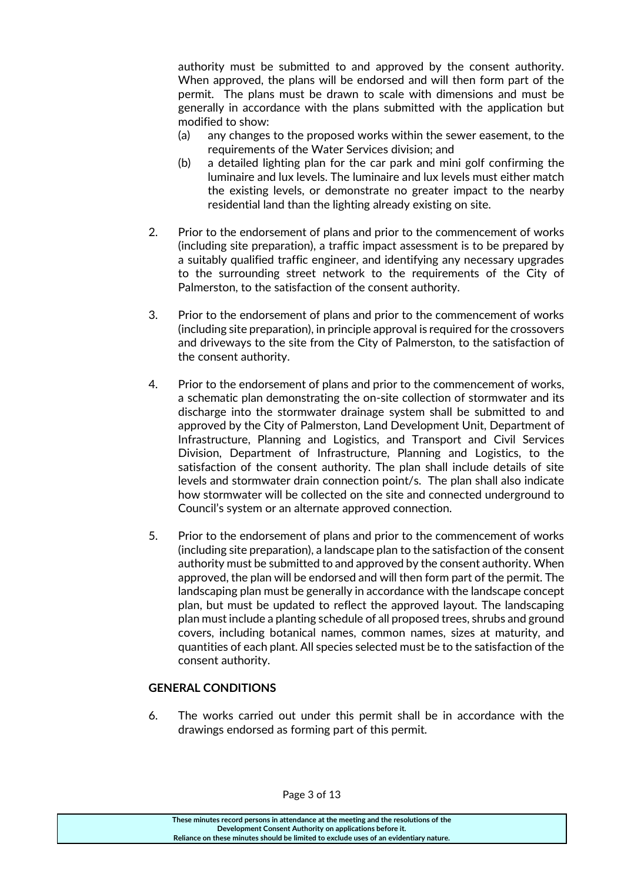authority must be submitted to and approved by the consent authority. When approved, the plans will be endorsed and will then form part of the permit. The plans must be drawn to scale with dimensions and must be generally in accordance with the plans submitted with the application but modified to show:

- (a) any changes to the proposed works within the sewer easement, to the requirements of the Water Services division; and
- (b) a detailed lighting plan for the car park and mini golf confirming the luminaire and lux levels. The luminaire and lux levels must either match the existing levels, or demonstrate no greater impact to the nearby residential land than the lighting already existing on site.
- 2. Prior to the endorsement of plans and prior to the commencement of works (including site preparation), a traffic impact assessment is to be prepared by a suitably qualified traffic engineer, and identifying any necessary upgrades to the surrounding street network to the requirements of the City of Palmerston, to the satisfaction of the consent authority.
- 3. Prior to the endorsement of plans and prior to the commencement of works (including site preparation), in principle approval is required for the crossovers and driveways to the site from the City of Palmerston, to the satisfaction of the consent authority.
- 4. Prior to the endorsement of plans and prior to the commencement of works, a schematic plan demonstrating the on-site collection of stormwater and its discharge into the stormwater drainage system shall be submitted to and approved by the City of Palmerston, Land Development Unit, Department of Infrastructure, Planning and Logistics, and Transport and Civil Services Division, Department of Infrastructure, Planning and Logistics, to the satisfaction of the consent authority. The plan shall include details of site levels and stormwater drain connection point/s. The plan shall also indicate how stormwater will be collected on the site and connected underground to Council's system or an alternate approved connection.
- 5. Prior to the endorsement of plans and prior to the commencement of works (including site preparation), a landscape plan to the satisfaction of the consent authority must be submitted to and approved by the consent authority. When approved, the plan will be endorsed and will then form part of the permit. The landscaping plan must be generally in accordance with the landscape concept plan, but must be updated to reflect the approved layout. The landscaping plan must include a planting schedule of all proposed trees, shrubs and ground covers, including botanical names, common names, sizes at maturity, and quantities of each plant. All species selected must be to the satisfaction of the consent authority.

#### **GENERAL CONDITIONS**

6. The works carried out under this permit shall be in accordance with the drawings endorsed as forming part of this permit.

Page 3 of 13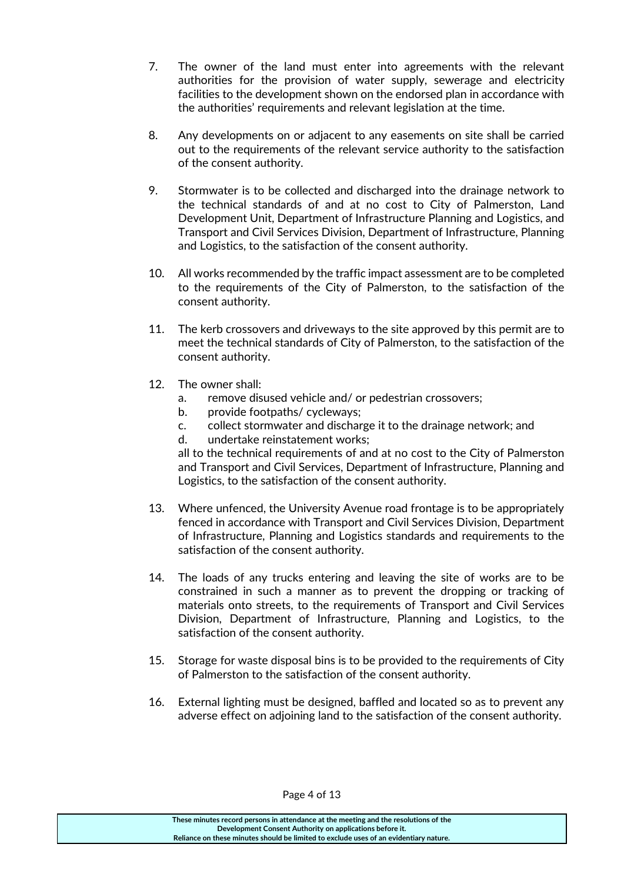- 7. The owner of the land must enter into agreements with the relevant authorities for the provision of water supply, sewerage and electricity facilities to the development shown on the endorsed plan in accordance with the authorities' requirements and relevant legislation at the time.
- 8. Any developments on or adjacent to any easements on site shall be carried out to the requirements of the relevant service authority to the satisfaction of the consent authority.
- 9. Stormwater is to be collected and discharged into the drainage network to the technical standards of and at no cost to City of Palmerston, Land Development Unit, Department of Infrastructure Planning and Logistics, and Transport and Civil Services Division, Department of Infrastructure, Planning and Logistics, to the satisfaction of the consent authority.
- 10. All works recommended by the traffic impact assessment are to be completed to the requirements of the City of Palmerston, to the satisfaction of the consent authority.
- 11. The kerb crossovers and driveways to the site approved by this permit are to meet the technical standards of City of Palmerston, to the satisfaction of the consent authority.
- 12. The owner shall:
	- a. remove disused vehicle and/ or pedestrian crossovers;
	- b. provide footpaths/ cycleways;
	- c. collect stormwater and discharge it to the drainage network; and
	- d. undertake reinstatement works;

all to the technical requirements of and at no cost to the City of Palmerston and Transport and Civil Services, Department of Infrastructure, Planning and Logistics, to the satisfaction of the consent authority.

- 13. Where unfenced, the University Avenue road frontage is to be appropriately fenced in accordance with Transport and Civil Services Division, Department of Infrastructure, Planning and Logistics standards and requirements to the satisfaction of the consent authority.
- 14. The loads of any trucks entering and leaving the site of works are to be constrained in such a manner as to prevent the dropping or tracking of materials onto streets, to the requirements of Transport and Civil Services Division, Department of Infrastructure, Planning and Logistics, to the satisfaction of the consent authority.
- 15. Storage for waste disposal bins is to be provided to the requirements of City of Palmerston to the satisfaction of the consent authority.
- 16. External lighting must be designed, baffled and located so as to prevent any adverse effect on adjoining land to the satisfaction of the consent authority.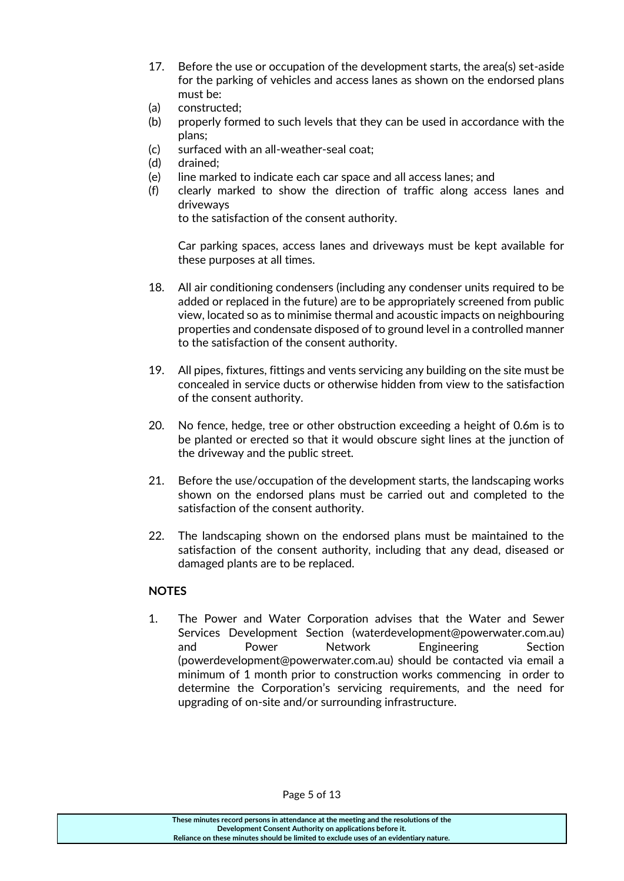- 17. Before the use or occupation of the development starts, the area(s) set-aside for the parking of vehicles and access lanes as shown on the endorsed plans must be:
- (a) constructed;
- (b) properly formed to such levels that they can be used in accordance with the plans;
- (c) surfaced with an all-weather-seal coat;
- (d) drained;
- (e) line marked to indicate each car space and all access lanes; and
- (f) clearly marked to show the direction of traffic along access lanes and driveways

to the satisfaction of the consent authority.

Car parking spaces, access lanes and driveways must be kept available for these purposes at all times.

- 18. All air conditioning condensers (including any condenser units required to be added or replaced in the future) are to be appropriately screened from public view, located so as to minimise thermal and acoustic impacts on neighbouring properties and condensate disposed of to ground level in a controlled manner to the satisfaction of the consent authority.
- 19. All pipes, fixtures, fittings and vents servicing any building on the site must be concealed in service ducts or otherwise hidden from view to the satisfaction of the consent authority.
- 20. No fence, hedge, tree or other obstruction exceeding a height of 0.6m is to be planted or erected so that it would obscure sight lines at the junction of the driveway and the public street.
- 21. Before the use/occupation of the development starts, the landscaping works shown on the endorsed plans must be carried out and completed to the satisfaction of the consent authority.
- 22. The landscaping shown on the endorsed plans must be maintained to the satisfaction of the consent authority, including that any dead, diseased or damaged plants are to be replaced.

#### **NOTES**

1. The Power and Water Corporation advises that the Water and Sewer Services Development Section (waterdevelopment@powerwater.com.au) and Power Network Engineering Section (powerdevelopment@powerwater.com.au) should be contacted via email a minimum of 1 month prior to construction works commencing in order to determine the Corporation's servicing requirements, and the need for upgrading of on-site and/or surrounding infrastructure.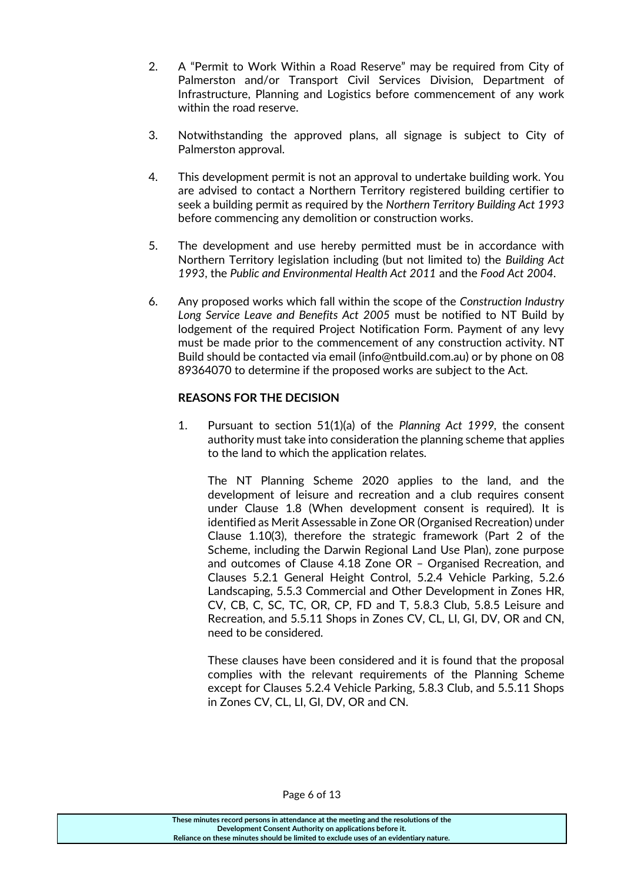- 2. A "Permit to Work Within a Road Reserve" may be required from City of Palmerston and/or Transport Civil Services Division, Department of Infrastructure, Planning and Logistics before commencement of any work within the road reserve.
- 3. Notwithstanding the approved plans, all signage is subject to City of Palmerston approval.
- 4. This development permit is not an approval to undertake building work. You are advised to contact a Northern Territory registered building certifier to seek a building permit as required by the *Northern Territory Building Act 1993* before commencing any demolition or construction works.
- 5. The development and use hereby permitted must be in accordance with Northern Territory legislation including (but not limited to) the *Building Act 1993*, the *Public and Environmental Health Act 2011* and the *Food Act 2004*.
- 6. Any proposed works which fall within the scope of the *Construction Industry Long Service Leave and Benefits Act 2005* must be notified to NT Build by lodgement of the required Project Notification Form. Payment of any levy must be made prior to the commencement of any construction activity. NT Build should be contacted via email (info@ntbuild.com.au) or by phone on 08 89364070 to determine if the proposed works are subject to the Act.

#### **REASONS FOR THE DECISION**

1. Pursuant to section 51(1)(a) of the *Planning Act 1999,* the consent authority must take into consideration the planning scheme that applies to the land to which the application relates.

The NT Planning Scheme 2020 applies to the land, and the development of leisure and recreation and a club requires consent under Clause 1.8 (When development consent is required). It is identified as Merit Assessable in Zone OR (Organised Recreation) under Clause 1.10(3), therefore the strategic framework (Part 2 of the Scheme, including the Darwin Regional Land Use Plan), zone purpose and outcomes of Clause 4.18 Zone OR – Organised Recreation, and Clauses 5.2.1 General Height Control, 5.2.4 Vehicle Parking, 5.2.6 Landscaping, 5.5.3 Commercial and Other Development in Zones HR, CV, CB, C, SC, TC, OR, CP, FD and T, 5.8.3 Club, 5.8.5 Leisure and Recreation, and 5.5.11 Shops in Zones CV, CL, LI, GI, DV, OR and CN, need to be considered.

These clauses have been considered and it is found that the proposal complies with the relevant requirements of the Planning Scheme except for Clauses 5.2.4 Vehicle Parking, 5.8.3 Club, and 5.5.11 Shops in Zones CV, CL, LI, GI, DV, OR and CN.

Page 6 of 13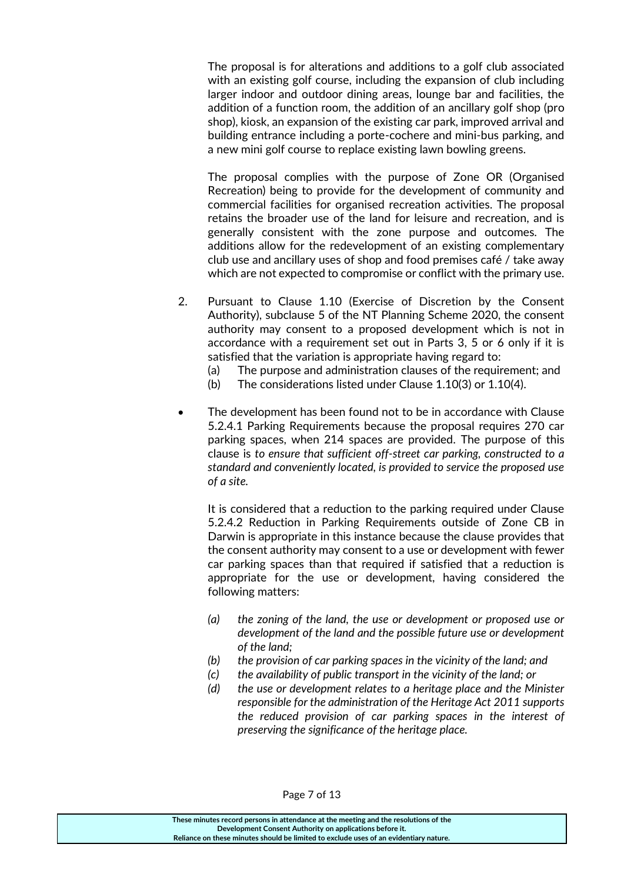The proposal is for alterations and additions to a golf club associated with an existing golf course, including the expansion of club including larger indoor and outdoor dining areas, lounge bar and facilities, the addition of a function room, the addition of an ancillary golf shop (pro shop), kiosk, an expansion of the existing car park, improved arrival and building entrance including a porte-cochere and mini-bus parking, and a new mini golf course to replace existing lawn bowling greens.

The proposal complies with the purpose of Zone OR (Organised Recreation) being to provide for the development of community and commercial facilities for organised recreation activities. The proposal retains the broader use of the land for leisure and recreation, and is generally consistent with the zone purpose and outcomes. The additions allow for the redevelopment of an existing complementary club use and ancillary uses of shop and food premises café / take away which are not expected to compromise or conflict with the primary use.

- 2. Pursuant to Clause 1.10 (Exercise of Discretion by the Consent Authority), subclause 5 of the NT Planning Scheme 2020, the consent authority may consent to a proposed development which is not in accordance with a requirement set out in Parts 3, 5 or 6 only if it is satisfied that the variation is appropriate having regard to:
	- (a) The purpose and administration clauses of the requirement; and
	- (b) The considerations listed under Clause 1.10(3) or 1.10(4).
- The development has been found not to be in accordance with Clause 5.2.4.1 Parking Requirements because the proposal requires 270 car parking spaces, when 214 spaces are provided. The purpose of this clause is *to ensure that sufficient off-street car parking, constructed to a standard and conveniently located, is provided to service the proposed use of a site.*

It is considered that a reduction to the parking required under Clause 5.2.4.2 Reduction in Parking Requirements outside of Zone CB in Darwin is appropriate in this instance because the clause provides that the consent authority may consent to a use or development with fewer car parking spaces than that required if satisfied that a reduction is appropriate for the use or development, having considered the following matters:

- *(a) the zoning of the land, the use or development or proposed use or development of the land and the possible future use or development of the land;*
- *(b) the provision of car parking spaces in the vicinity of the land; and*
- *(c) the availability of public transport in the vicinity of the land; or*
- *(d) the use or development relates to a heritage place and the Minister responsible for the administration of the Heritage Act 2011 supports the reduced provision of car parking spaces in the interest of preserving the significance of the heritage place.*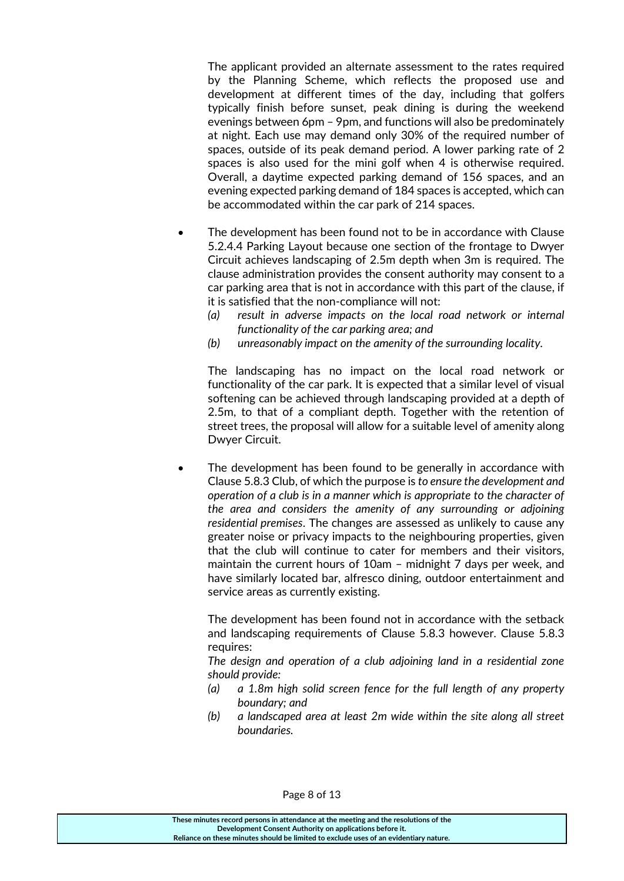The applicant provided an alternate assessment to the rates required by the Planning Scheme, which reflects the proposed use and development at different times of the day, including that golfers typically finish before sunset, peak dining is during the weekend evenings between 6pm – 9pm, and functions will also be predominately at night. Each use may demand only 30% of the required number of spaces, outside of its peak demand period. A lower parking rate of 2 spaces is also used for the mini golf when 4 is otherwise required. Overall, a daytime expected parking demand of 156 spaces, and an evening expected parking demand of 184 spaces is accepted, which can be accommodated within the car park of 214 spaces.

- The development has been found not to be in accordance with Clause 5.2.4.4 Parking Layout because one section of the frontage to Dwyer Circuit achieves landscaping of 2.5m depth when 3m is required. The clause administration provides the consent authority may consent to a car parking area that is not in accordance with this part of the clause, if it is satisfied that the non-compliance will not:
	- *(a) result in adverse impacts on the local road network or internal functionality of the car parking area; and*
	- *(b) unreasonably impact on the amenity of the surrounding locality.*

The landscaping has no impact on the local road network or functionality of the car park. It is expected that a similar level of visual softening can be achieved through landscaping provided at a depth of 2.5m, to that of a compliant depth. Together with the retention of street trees, the proposal will allow for a suitable level of amenity along Dwyer Circuit.

 The development has been found to be generally in accordance with Clause 5.8.3 Club, of which the purpose is *to ensure the development and operation of a club is in a manner which is appropriate to the character of the area and considers the amenity of any surrounding or adjoining residential premises*. The changes are assessed as unlikely to cause any greater noise or privacy impacts to the neighbouring properties, given that the club will continue to cater for members and their visitors, maintain the current hours of 10am – midnight 7 days per week, and have similarly located bar, alfresco dining, outdoor entertainment and service areas as currently existing.

The development has been found not in accordance with the setback and landscaping requirements of Clause 5.8.3 however. Clause 5.8.3 requires:

*The design and operation of a club adjoining land in a residential zone should provide:*

- *(a) a 1.8m high solid screen fence for the full length of any property boundary; and*
- *(b) a landscaped area at least 2m wide within the site along all street boundaries.*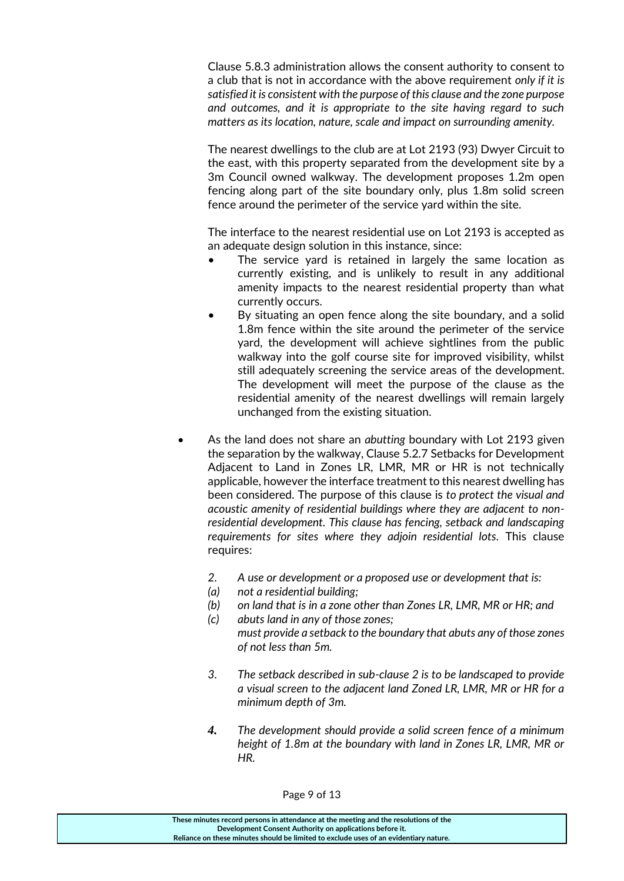Clause 5.8.3 administration allows the consent authority to consent to a club that is not in accordance with the above requirement *only if it is satisfied it is consistent with the purpose of this clause and the zone purpose and outcomes, and it is appropriate to the site having regard to such matters as its location, nature, scale and impact on surrounding amenity.* 

The nearest dwellings to the club are at Lot 2193 (93) Dwyer Circuit to the east, with this property separated from the development site by a 3m Council owned walkway. The development proposes 1.2m open fencing along part of the site boundary only, plus 1.8m solid screen fence around the perimeter of the service yard within the site.

The interface to the nearest residential use on Lot 2193 is accepted as an adequate design solution in this instance, since:

- The service yard is retained in largely the same location as currently existing, and is unlikely to result in any additional amenity impacts to the nearest residential property than what currently occurs.
- By situating an open fence along the site boundary, and a solid 1.8m fence within the site around the perimeter of the service yard, the development will achieve sightlines from the public walkway into the golf course site for improved visibility, whilst still adequately screening the service areas of the development. The development will meet the purpose of the clause as the residential amenity of the nearest dwellings will remain largely unchanged from the existing situation.
- As the land does not share an *abutting* boundary with Lot 2193 given the separation by the walkway, Clause 5.2.7 Setbacks for Development Adjacent to Land in Zones LR, LMR, MR or HR is not technically applicable, however the interface treatment to this nearest dwelling has been considered. The purpose of this clause is *to protect the visual and acoustic amenity of residential buildings where they are adjacent to nonresidential development. This clause has fencing, setback and landscaping requirements for sites where they adjoin residential lots.* This clause requires:
	- *2. A use or development or a proposed use or development that is:*
	- *(a) not a residential building;*
	- *(b) on land that is in a zone other than Zones LR, LMR, MR or HR; and*
	- *(c) abuts land in any of those zones; must provide a setback to the boundary that abuts any of those zones of not less than 5m.*
	- *3. The setback described in sub-clause 2 is to be landscaped to provide a visual screen to the adjacent land Zoned LR, LMR, MR or HR for a minimum depth of 3m.*
	- *4. The development should provide a solid screen fence of a minimum height of 1.8m at the boundary with land in Zones LR, LMR, MR or HR.*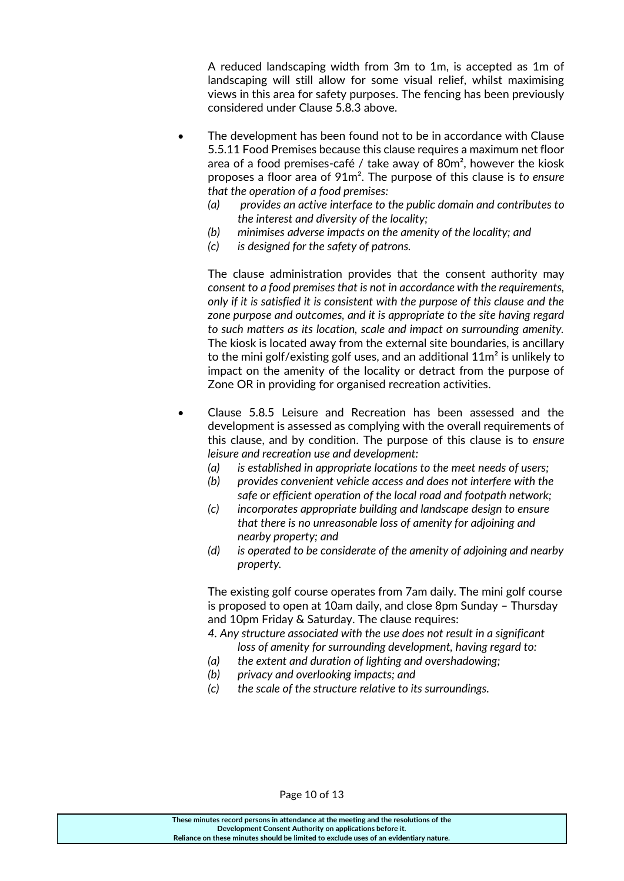A reduced landscaping width from 3m to 1m, is accepted as 1m of landscaping will still allow for some visual relief, whilst maximising views in this area for safety purposes. The fencing has been previously considered under Clause 5.8.3 above.

- The development has been found not to be in accordance with Clause 5.5.11 Food Premises because this clause requires a maximum net floor area of a food premises-café / take away of  $80m^2$ , however the kiosk proposes a floor area of 91m². The purpose of this clause is *to ensure that the operation of a food premises:*
	- *(a) provides an active interface to the public domain and contributes to the interest and diversity of the locality;*
	- *(b) minimises adverse impacts on the amenity of the locality; and*
	- *(c) is designed for the safety of patrons.*

The clause administration provides that the consent authority may *consent to a food premises that is not in accordance with the requirements, only if it is satisfied it is consistent with the purpose of this clause and the zone purpose and outcomes, and it is appropriate to the site having regard to such matters as its location, scale and impact on surrounding amenity.*  The kiosk is located away from the external site boundaries, is ancillary to the mini golf/existing golf uses, and an additional  $11m^2$  is unlikely to impact on the amenity of the locality or detract from the purpose of Zone OR in providing for organised recreation activities.

- Clause 5.8.5 Leisure and Recreation has been assessed and the development is assessed as complying with the overall requirements of this clause, and by condition. The purpose of this clause is to *ensure leisure and recreation use and development:*
	- *(a) is established in appropriate locations to the meet needs of users;*
	- *(b) provides convenient vehicle access and does not interfere with the safe or efficient operation of the local road and footpath network;*
	- *(c) incorporates appropriate building and landscape design to ensure that there is no unreasonable loss of amenity for adjoining and nearby property; and*
	- *(d) is operated to be considerate of the amenity of adjoining and nearby property.*

The existing golf course operates from 7am daily. The mini golf course is proposed to open at 10am daily, and close 8pm Sunday – Thursday and 10pm Friday & Saturday. The clause requires:

- *4. Any structure associated with the use does not result in a significant loss of amenity for surrounding development, having regard to:*
- *(a) the extent and duration of lighting and overshadowing;*
- *(b) privacy and overlooking impacts; and*
- *(c) the scale of the structure relative to its surroundings.*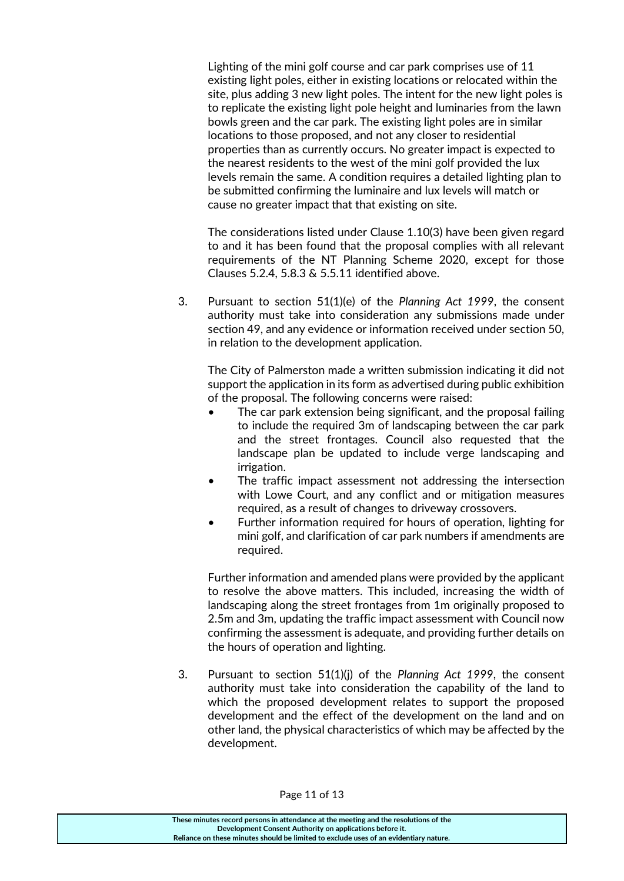Lighting of the mini golf course and car park comprises use of 11 existing light poles, either in existing locations or relocated within the site, plus adding 3 new light poles. The intent for the new light poles is to replicate the existing light pole height and luminaries from the lawn bowls green and the car park. The existing light poles are in similar locations to those proposed, and not any closer to residential properties than as currently occurs. No greater impact is expected to the nearest residents to the west of the mini golf provided the lux levels remain the same. A condition requires a detailed lighting plan to be submitted confirming the luminaire and lux levels will match or cause no greater impact that that existing on site.

The considerations listed under Clause 1.10(3) have been given regard to and it has been found that the proposal complies with all relevant requirements of the NT Planning Scheme 2020, except for those Clauses 5.2.4, 5.8.3 & 5.5.11 identified above.

3. Pursuant to section 51(1)(e) of the *Planning Act 1999*, the consent authority must take into consideration any submissions made under section 49, and any evidence or information received under section 50, in relation to the development application.

The City of Palmerston made a written submission indicating it did not support the application in its form as advertised during public exhibition of the proposal. The following concerns were raised:

- The car park extension being significant, and the proposal failing to include the required 3m of landscaping between the car park and the street frontages. Council also requested that the landscape plan be updated to include verge landscaping and irrigation.
- The traffic impact assessment not addressing the intersection with Lowe Court, and any conflict and or mitigation measures required, as a result of changes to driveway crossovers.
- Further information required for hours of operation, lighting for mini golf, and clarification of car park numbers if amendments are required.

Further information and amended plans were provided by the applicant to resolve the above matters. This included, increasing the width of landscaping along the street frontages from 1m originally proposed to 2.5m and 3m, updating the traffic impact assessment with Council now confirming the assessment is adequate, and providing further details on the hours of operation and lighting.

3. Pursuant to section 51(1)(j) of the *Planning Act 1999*, the consent authority must take into consideration the capability of the land to which the proposed development relates to support the proposed development and the effect of the development on the land and on other land, the physical characteristics of which may be affected by the development.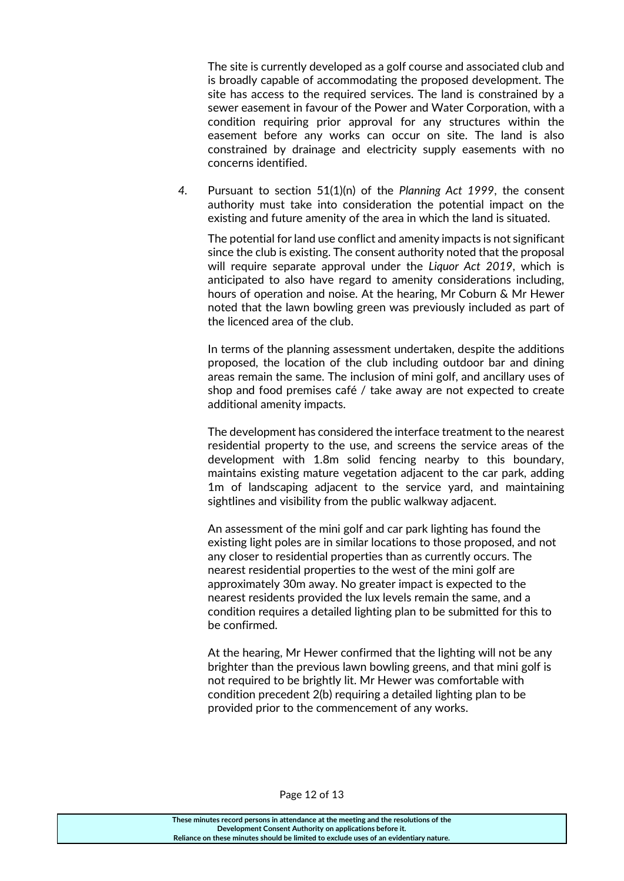The site is currently developed as a golf course and associated club and is broadly capable of accommodating the proposed development. The site has access to the required services. The land is constrained by a sewer easement in favour of the Power and Water Corporation, with a condition requiring prior approval for any structures within the easement before any works can occur on site. The land is also constrained by drainage and electricity supply easements with no concerns identified.

*4.* Pursuant to section 51(1)(n) of the *Planning Act 1999*, the consent authority must take into consideration the potential impact on the existing and future amenity of the area in which the land is situated.

The potential for land use conflict and amenity impacts is not significant since the club is existing. The consent authority noted that the proposal will require separate approval under the *Liquor Act 2019*, which is anticipated to also have regard to amenity considerations including, hours of operation and noise. At the hearing, Mr Coburn & Mr Hewer noted that the lawn bowling green was previously included as part of the licenced area of the club.

In terms of the planning assessment undertaken, despite the additions proposed, the location of the club including outdoor bar and dining areas remain the same. The inclusion of mini golf, and ancillary uses of shop and food premises café / take away are not expected to create additional amenity impacts.

The development has considered the interface treatment to the nearest residential property to the use, and screens the service areas of the development with 1.8m solid fencing nearby to this boundary, maintains existing mature vegetation adjacent to the car park, adding 1m of landscaping adjacent to the service yard, and maintaining sightlines and visibility from the public walkway adjacent.

An assessment of the mini golf and car park lighting has found the existing light poles are in similar locations to those proposed, and not any closer to residential properties than as currently occurs. The nearest residential properties to the west of the mini golf are approximately 30m away. No greater impact is expected to the nearest residents provided the lux levels remain the same, and a condition requires a detailed lighting plan to be submitted for this to be confirmed.

At the hearing, Mr Hewer confirmed that the lighting will not be any brighter than the previous lawn bowling greens, and that mini golf is not required to be brightly lit. Mr Hewer was comfortable with condition precedent 2(b) requiring a detailed lighting plan to be provided prior to the commencement of any works.